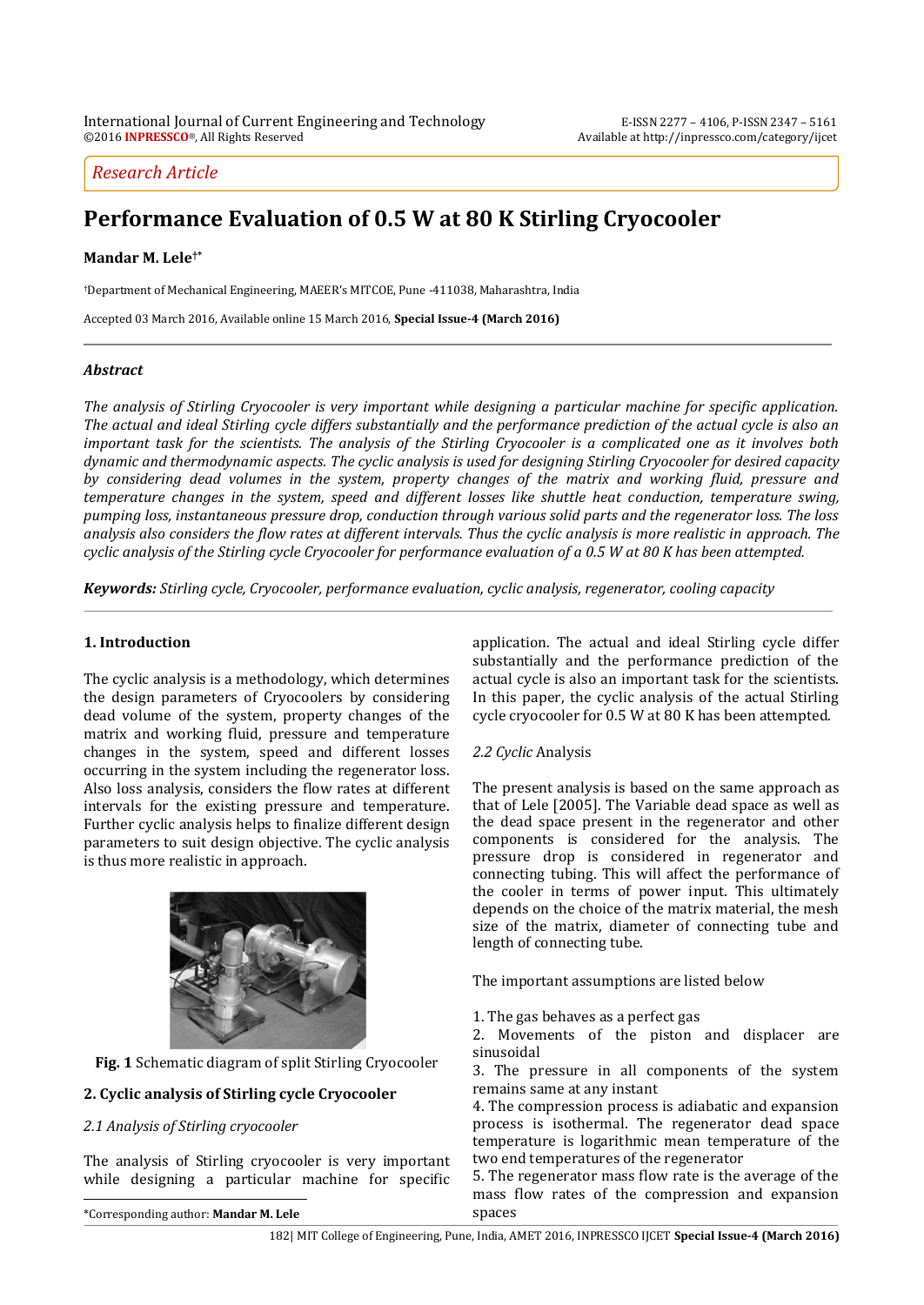# *Research Article*

# **Performance Evaluation of 0.5 W at 80 K Stirling Cryocooler**

# **Mandar M. Lele†\***

†Department of Mechanical Engineering, MAEER's MITCOE, Pune -411038, Maharashtra, India

Accepted 03 March 2016, Available online 15 March 2016, **Special Issue-4 (March 2016)**

# *Abstract*

*The analysis of Stirling Cryocooler is very important while designing a particular machine for specific application. The actual and ideal Stirling cycle differs substantially and the performance prediction of the actual cycle is also an important task for the scientists. The analysis of the Stirling Cryocooler is a complicated one as it involves both dynamic and thermodynamic aspects. The cyclic analysis is used for designing Stirling Cryocooler for desired capacity by considering dead volumes in the system, property changes of the matrix and working fluid, pressure and temperature changes in the system, speed and different losses like shuttle heat conduction, temperature swing, pumping loss, instantaneous pressure drop, conduction through various solid parts and the regenerator loss. The loss analysis also considers the flow rates at different intervals. Thus the cyclic analysis is more realistic in approach. The cyclic analysis of the Stirling cycle Cryocooler for performance evaluation of a 0.5 W at 80 K has been attempted.*

*Keywords: Stirling cycle, Cryocooler, performance evaluation, cyclic analysis, regenerator, cooling capacity*

# **1. Introduction**

The cyclic analysis is a methodology, which determines the design parameters of Cryocoolers by considering dead volume of the system, property changes of the matrix and working fluid, pressure and temperature changes in the system, speed and different losses occurring in the system including the regenerator loss. Also loss analysis, considers the flow rates at different intervals for the existing pressure and temperature. Further cyclic analysis helps to finalize different design parameters to suit design objective. The cyclic analysis is thus more realistic in approach.



**Fig. 1** Schematic diagram of split Stirling Cryocooler

# **2. Cyclic analysis of Stirling cycle Cryocooler**

#### *2.1 Analysis of Stirling cryocooler*

The analysis of Stirling cryocooler is very important while designing a particular machine for specific application. The actual and ideal Stirling cycle differ substantially and the performance prediction of the actual cycle is also an important task for the scientists. In this paper, the cyclic analysis of the actual Stirling cycle cryocooler for 0.5 W at 80 K has been attempted.

# *2.2 Cyclic* Analysis

The present analysis is based on the same approach as that of Lele [2005]. The Variable dead space as well as the dead space present in the regenerator and other components is considered for the analysis. The pressure drop is considered in regenerator and connecting tubing. This will affect the performance of the cooler in terms of power input. This ultimately depends on the choice of the matrix material, the mesh size of the matrix, diameter of connecting tube and length of connecting tube.

The important assumptions are listed below

1. The gas behaves as a perfect gas

2. Movements of the piston and displacer are sinusoidal

3. The pressure in all components of the system remains same at any instant

4. The compression process is adiabatic and expansion process is isothermal. The regenerator dead space temperature is logarithmic mean temperature of the two end temperatures of the regenerator

5. The regenerator mass flow rate is the average of the mass flow rates of the compression and expansion spaces

 $\overline{a}$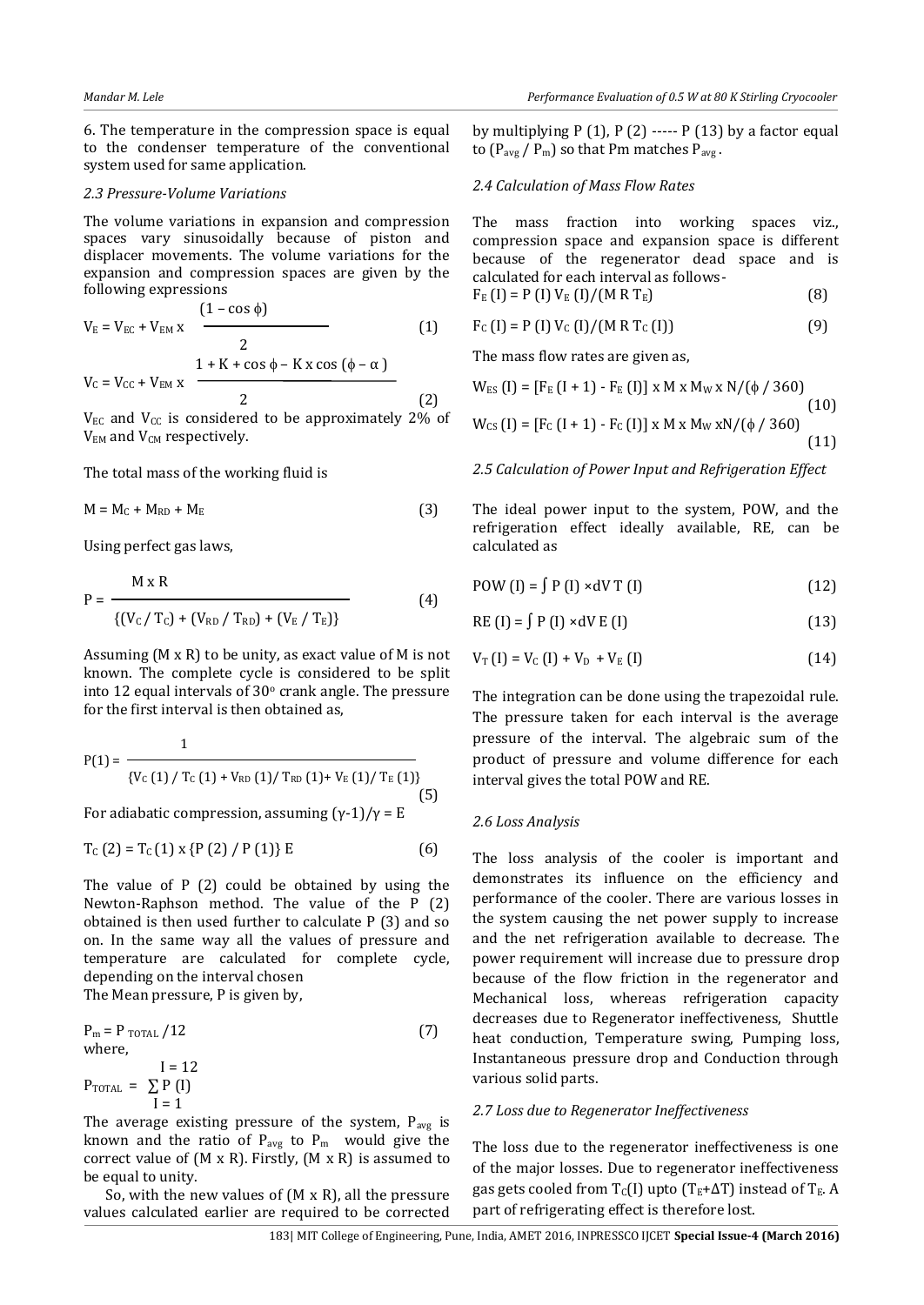6. The temperature in the compression space is equal to the condenser temperature of the conventional system used for same application.

#### *2.3 Pressure-Volume Variations*

The volume variations in expansion and compression spaces vary sinusoidally because of piston and displacer movements. The volume variations for the expansion and compression spaces are given by the following expressions

$$
V_{E} = V_{EC} + V_{EM} x \frac{(1 - \cos \phi)}{2}
$$
 (1)  
 
$$
1 + K + \cos \phi - K x \cos (\phi - \alpha)
$$

 $V_C = V_{CC} + V_{EM} x$  $2 \tag{2}$  $V_{EC}$  and  $V_{CC}$  is considered to be approximately 2% of

 $V<sub>EM</sub>$  and  $V<sub>CM</sub>$  respectively.

The total mass of the working fluid is

$$
M = M_C + M_{RD} + M_E
$$
 (3)

Using perfect gas laws,

$$
P = \frac{M \times R}{\{(V_C / T_C) + (V_{RD} / T_{RD}) + (V_E / T_E)\}}
$$
(4)

Assuming (M x R) to be unity, as exact value of M is not known. The complete cycle is considered to be split into 12 equal intervals of  $30^{\circ}$  crank angle. The pressure for the first interval is then obtained as,

$$
P(1) = \frac{1}{\{V_{C}(1) / T_{C}(1) + V_{RD}(1) / T_{RD}(1) + V_{E}(1) / T_{E}(1)\}}
$$
\nFor adiabatic compression assuming  $(y, 1)/y = F$  (5)

For adiabatic compression, assuming (γ-1)/γ = E

$$
T_{C}(2) = T_{C}(1) \times \{P(2) / P(1)\} E
$$
 (6)

The value of P (2) could be obtained by using the Newton-Raphson method. The value of the P (2) obtained is then used further to calculate P (3) and so on. In the same way all the values of pressure and temperature are calculated for complete cycle, depending on the interval chosen

The Mean pressure, P is given by,

$$
P_m = P_{\text{TOTAL}} / 12
$$
  
where,  

$$
I = 12
$$
  

$$
P_{\text{TOTAL}} = \sum_{I=1}^{L} P(I)
$$
  
(7)

The average existing pressure of the system,  $P_{avg}$  is known and the ratio of  $P_{avg}$  to  $P_m$  would give the correct value of (M x R). Firstly, (M x R) is assumed to be equal to unity.

So, with the new values of  $(M \times R)$ , all the pressure values calculated earlier are required to be corrected

by multiplying  $P(1)$ ,  $P(2)$  -----  $P(13)$  by a factor equal to  $(P_{avg} / P_m)$  so that Pm matches  $P_{avg}$ .

#### *2.4 Calculation of Mass Flow Rates*

The mass fraction into working spaces viz., compression space and expansion space is different because of the regenerator dead space and is calculated for each interval as follows-

$$
F_{E} (I) = P (I) V_{E} (I) / (M R T_{E})
$$
 (8)

$$
F_{C} (I) = P (I) V_{C} (I) / (M R T_{C} (I))
$$
 (9)

The mass flow rates are given as,

$$
W_{ES} (I) = [FE (I + 1) - FE (I)] \times M \times MW \times N/(\phi / 360)
$$
\n(10)\n
$$
W_{CS} (I) = [FC (I + 1) - FC (I)] \times M \times MW \times N/(\phi / 360)
$$
\n(11)

*2.5 Calculation of Power Input and Refrigeration Effect* 

The ideal power input to the system, POW, and the refrigeration effect ideally available, RE, can be calculated as

$$
POW (I) = \int P (I) \times dV T (I)
$$
 (12)

$$
RE(I) = \int P(I) \times dV E(I)
$$
 (13)

$$
V_{\text{T}}(I) = V_{\text{C}}(I) + V_{\text{D}} + V_{\text{E}}(I) \tag{14}
$$

The integration can be done using the trapezoidal rule. The pressure taken for each interval is the average pressure of the interval. The algebraic sum of the product of pressure and volume difference for each interval gives the total POW and RE.

#### *2.6 Loss Analysis*

The loss analysis of the cooler is important and demonstrates its influence on the efficiency and performance of the cooler. There are various losses in the system causing the net power supply to increase and the net refrigeration available to decrease. The power requirement will increase due to pressure drop because of the flow friction in the regenerator and Mechanical loss, whereas refrigeration capacity decreases due to Regenerator ineffectiveness, Shuttle heat conduction, Temperature swing, Pumping loss, Instantaneous pressure drop and Conduction through various solid parts.

# *2.7 Loss due to Regenerator Ineffectiveness*

The loss due to the regenerator ineffectiveness is one of the major losses. Due to regenerator ineffectiveness gas gets cooled from  $T_c(I)$  upto  $(T_E + \Delta T)$  instead of  $T_E$ . A part of refrigerating effect is therefore lost.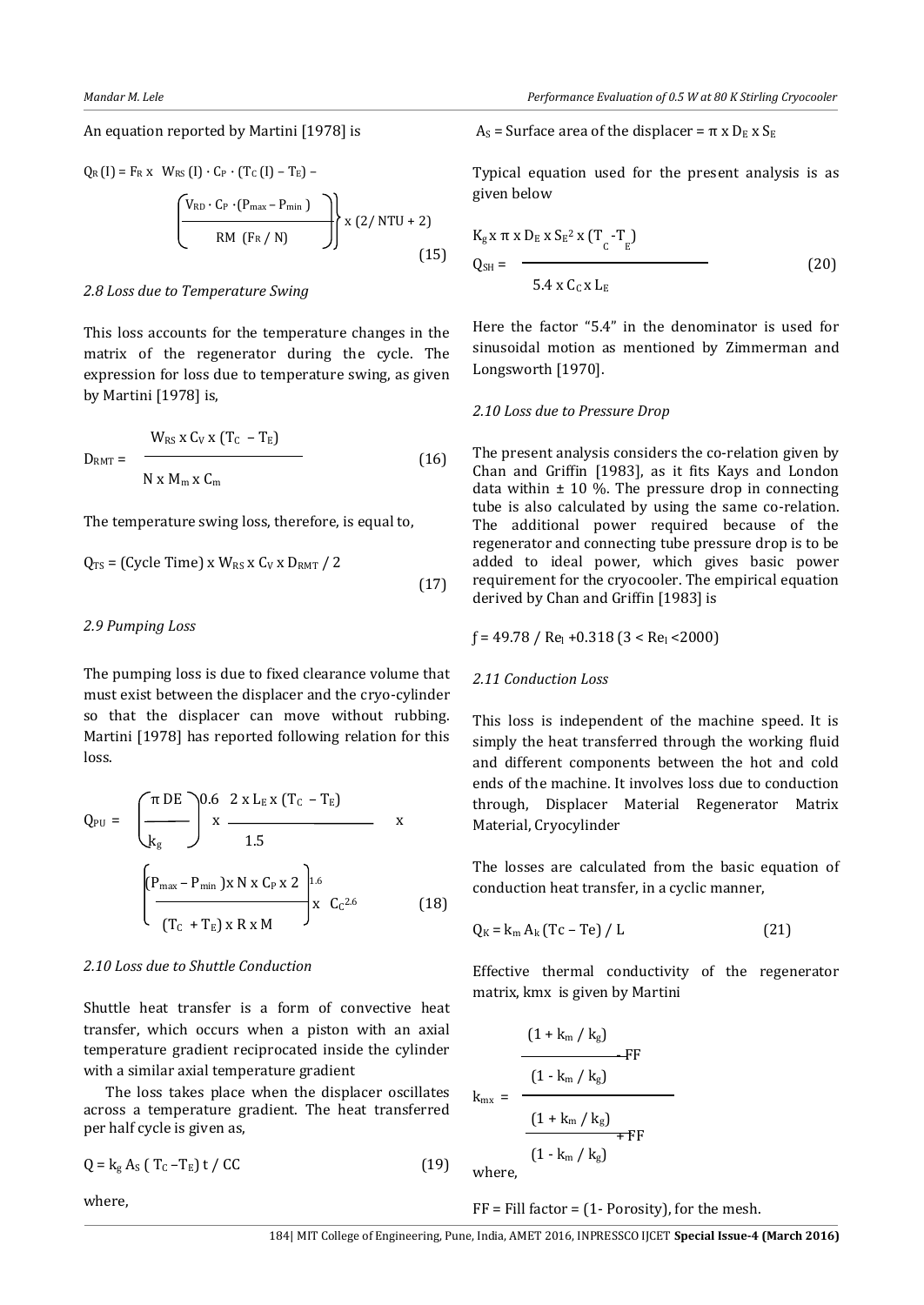#### An equation reported by Martini [1978] is

$$
Q_{R}(I) = F_{R} x W_{RS}(I) \cdot C_{P} \cdot (T_{C}(I) - T_{E}) - \left(\frac{V_{RD} \cdot C_{P} \cdot (P_{max} - P_{min})}{RM(F_{R}/N)}\right) x (2/NTU + 2)
$$
\n(15)

#### *2.8 Loss due to Temperature Swing*

This loss accounts for the temperature changes in the matrix of the regenerator during the cycle. The expression for loss due to temperature swing, as given by Martini [1978] is,

$$
D_{RMT} = \frac{W_{RS} x C_V x (T_C - T_E)}{N x M_m x C_m}
$$
 (16)

The temperature swing loss, therefore, is equal to,

$$
Q_{TS} = (Cycle Time) \times W_{RS} \times C_V \times D_{RMT} / 2
$$
\n(17)

#### *2.9 Pumping Loss*

The pumping loss is due to fixed clearance volume that must exist between the displacer and the cryo-cylinder so that the displacer can move without rubbing. Martini [1978] has reported following relation for this loss.

$$
Q_{PU} = \left(\frac{\pi DE}{k_{g}}\right)^{0.6} \frac{2 \times L_{E} \times (T_{C} - T_{E})}{1.5} \times \frac{1.5}{1.5}
$$
  

$$
\left(\frac{P_{max} - P_{min} \times N \times C_{P} \times 2}{(T_{C} + T_{E}) \times R \times M}\right)^{1.6} \times C_{C}^{2.6}
$$
 (18)

#### *2.10 Loss due to Shuttle Conduction*

Shuttle heat transfer is a form of convective heat transfer, which occurs when a piston with an axial temperature gradient reciprocated inside the cylinder with a similar axial temperature gradient

The loss takes place when the displacer oscillates across a temperature gradient. The heat transferred per half cycle is given as,

$$
Q = k_g A_S (T_C - T_E) t / CC
$$
 (19)

where,

# $As = Surface area of the displacement =  $\pi x D_E x S_E$$

Typical equation used for the present analysis is as given below

$$
K_{g} x \pi x D_{E} x S_{E}^{2} x (T_{C} - T_{E})
$$
  
Q<sub>SH</sub> = 5.4 x C<sub>C</sub> x L<sub>E</sub> (20)

Here the factor "5.4" in the denominator is used for sinusoidal motion as mentioned by Zimmerman and Longsworth [1970].

#### *2.10 Loss due to Pressure Drop*

The present analysis considers the co-relation given by Chan and Griffin [1983], as it fits Kays and London data within  $\pm$  10 %. The pressure drop in connecting tube is also calculated by using the same co-relation. The additional power required because of the regenerator and connecting tube pressure drop is to be added to ideal power, which gives basic power requirement for the cryocooler. The empirical equation derived by Chan and Griffin [1983] is

$$
f = 49.78 / Re_1 + 0.318 (3 < Re_1 < 2000)
$$

# *2.11 Conduction Loss*

This loss is independent of the machine speed. It is simply the heat transferred through the working fluid and different components between the hot and cold ends of the machine. It involves loss due to conduction through, Displacer Material Regenerator Matrix Material, Cryocylinder

The losses are calculated from the basic equation of conduction heat transfer, in a cyclic manner,

$$
Q_K = k_m A_k (Tc - Te) / L
$$
 (21)

Effective thermal conductivity of the regenerator matrix, kmx is given by Martini

$$
k_{mx} = \frac{(1 + k_m / k_g)}{1 - k_m / k_g}
$$
FF  

$$
\frac{(1 + k_m / k_g)}{1 - k_m / k_g} + FF
$$

where,

 $FF = Fill factor = (1 - Porosity)$ , for the mesh.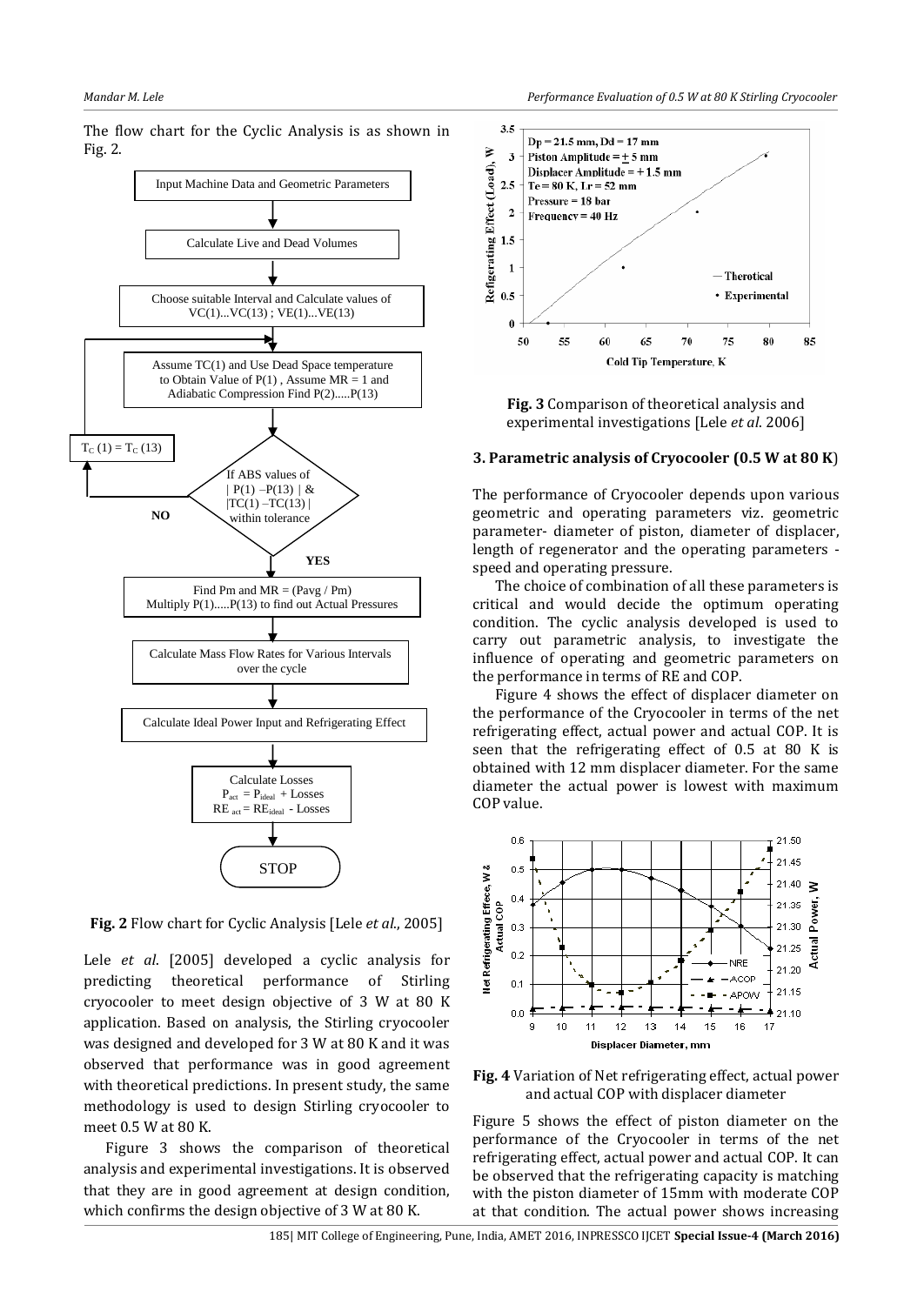

The flow chart for the Cyclic Analysis is as shown in Fig. 2.

**Fig. 2** Flow chart for Cyclic Analysis [Lele *et al*., 2005]

Lele *et al*. [2005] developed a cyclic analysis for predicting theoretical performance of Stirling cryocooler to meet design objective of 3 W at 80 K application. Based on analysis, the Stirling cryocooler was designed and developed for 3 W at 80 K and it was observed that performance was in good agreement with theoretical predictions. In present study, the same methodology is used to design Stirling cryocooler to meet 0.5 W at 80 K.

Figure 3 shows the comparison of theoretical analysis and experimental investigations. It is observed that they are in good agreement at design condition, which confirms the design objective of 3 W at 80 K.



**Fig. 3** Comparison of theoretical analysis and experimental investigations [Lele *et al*. 2006]

#### **3. Parametric analysis of Cryocooler (0.5 W at 80 K**)

The performance of Cryocooler depends upon various geometric and operating parameters viz. geometric parameter- diameter of piston, diameter of displacer, length of regenerator and the operating parameters speed and operating pressure.

The choice of combination of all these parameters is critical and would decide the optimum operating condition. The cyclic analysis developed is used to carry out parametric analysis, to investigate the influence of operating and geometric parameters on the performance in terms of RE and COP.

Figure 4 shows the effect of displacer diameter on the performance of the Cryocooler in terms of the net refrigerating effect, actual power and actual COP. It is seen that the refrigerating effect of 0.5 at 80 K is obtained with 12 mm displacer diameter. For the same diameter the actual power is lowest with maximum COP value.



**Fig. 4** Variation of Net refrigerating effect, actual power and actual COP with displacer diameter

Figure 5 shows the effect of piston diameter on the performance of the Cryocooler in terms of the net refrigerating effect, actual power and actual COP. It can be observed that the refrigerating capacity is matching with the piston diameter of 15mm with moderate COP at that condition. The actual power shows increasing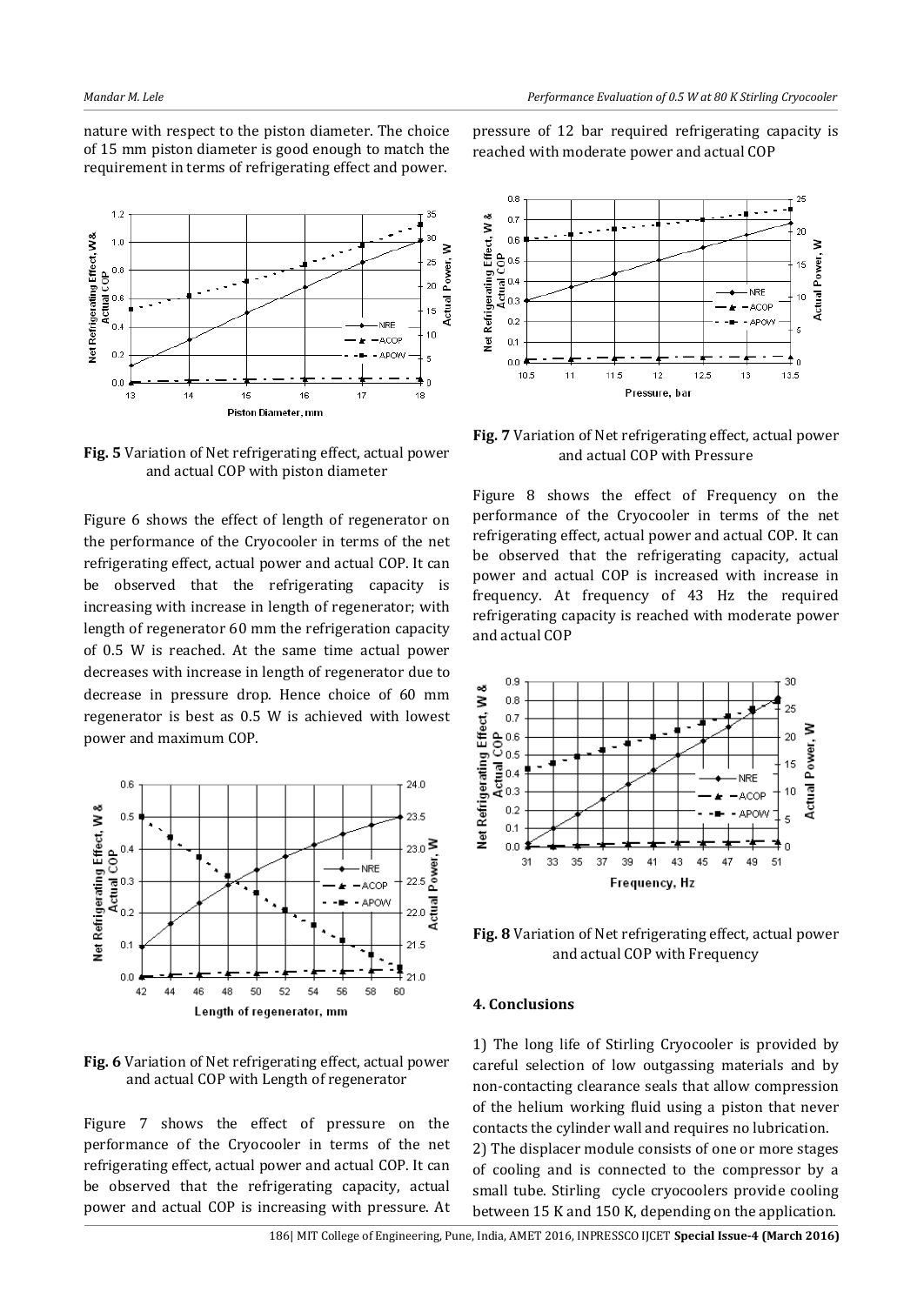nature with respect to the piston diameter. The choice of 15 mm piston diameter is good enough to match the requirement in terms of refrigerating effect and power.



**Fig. 5** Variation of Net refrigerating effect, actual power and actual COP with piston diameter

Figure 6 shows the effect of length of regenerator on the performance of the Cryocooler in terms of the net refrigerating effect, actual power and actual COP. It can be observed that the refrigerating capacity is increasing with increase in length of regenerator; with length of regenerator 60 mm the refrigeration capacity of 0.5 W is reached. At the same time actual power decreases with increase in length of regenerator due to decrease in pressure drop. Hence choice of 60 mm regenerator is best as 0.5 W is achieved with lowest power and maximum COP.



**Fig. 6** Variation of Net refrigerating effect, actual power and actual COP with Length of regenerator

Figure 7 shows the effect of pressure on the performance of the Cryocooler in terms of the net refrigerating effect, actual power and actual COP. It can be observed that the refrigerating capacity, actual power and actual COP is increasing with pressure. At pressure of 12 bar required refrigerating capacity is reached with moderate power and actual COP



**Fig. 7** Variation of Net refrigerating effect, actual power and actual COP with Pressure

Figure 8 shows the effect of Frequency on the performance of the Cryocooler in terms of the net refrigerating effect, actual power and actual COP. It can be observed that the refrigerating capacity, actual power and actual COP is increased with increase in frequency. At frequency of 43 Hz the required refrigerating capacity is reached with moderate power and actual COP



**Fig. 8** Variation of Net refrigerating effect, actual power and actual COP with Frequency

#### **4. Conclusions**

1) The long life of Stirling Cryocooler is provided by careful selection of low outgassing materials and by non-contacting clearance seals that allow compression of the helium working fluid using a piston that never contacts the cylinder wall and requires no lubrication. 2) The displacer module consists of one or more stages of cooling and is connected to the compressor by a small tube. Stirling cycle cryocoolers provide cooling between 15 K and 150 K, depending on the application.

186| MIT College of Engineering, Pune, India, AMET 2016, INPRESSCO IJCET **Special Issue-4 (March 2016)**